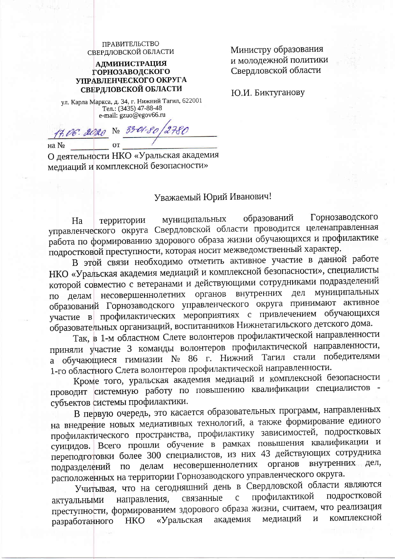ПРАВИТЕЛЬСТВО СВЕРДЛОВСКОЙ ОБЛАСТИ

**АДМИНИСТРАЦИЯ ГОРНОЗАВОДСКОГО** УПРАВЛЕНЧЕСКОГО ОКРУГА СВЕРДЛОВСКОЙ ОБЛАСТИ

ул. Карла Маркса, д. 34, г. Нижний Тагил, 622001 

17.06.2020 № 33-01-80/2780 на  $N_2$ 

О деятельности НКО «Уральская академия медиаций и комплексной безопасности»

## Уважаемый Юрий Иванович!

Горнозаводского образований муниципальных Ha территории управленческого округа Свердловской области проводится целенаправленная работа по формированию здорового образа жизни обучающихся и профилактике подростковой преступности, которая носит межведомственный характер.

В этой связи необходимо отметить активное участие в данной работе НКО «Уральская академия медиаций и комплексной безопасности», специалисты которой совместно с ветеранами и действующими сотрудниками подразделений муниципальных несовершеннолетних органов внутренних дел делам образований Горнозаводского управленческого округа принимают активное участие в профилактических мероприятиях с привлечением обучающихся образовательных организаций, воспитанников Нижнетагильского детского дома.

Так, в 1-м областном Слете волонтеров профилактической направленности приняли участие 3 команды волонтеров профилактической направленности, а обучающиеся гимназии № 86 г. Нижний Тагил стали победителями 1-го областного Слета волонтеров профилактической направленности.

Кроме того, уральская академия медиаций и комплексной безопасности проводит системную работу по повышению квалификации специалистов субъектов системы профилактики.

В первую очередь, это касается образовательных программ, направленных на внедрение новых медиативных технологий, а также формирование единого профилактического пространства, профилактику зависимостей, подростковых суицидов. Всего прошли обучение в рамках повышения квалификации и переподготовки более 300 специалистов, из них 43 действующих сотрудника внутренних дел, несовершеннолетних органов подразделений делам  $\Pi$ O расположенных на территории Горнозаводского управленческого округа.

Учитывая, что на сегодняшний день в Свердловской области являются подростковой профилактикой связанные направления,  $\mathsf{C}$ актуальными преступности, формированием здорового образа жизни, считаем, что реализация комплексной медиаций академия  $\overline{\mathbf{M}}$ «Уральская **HKO** разработанного

Министру образования и молодежной политики Свердловской области

Ю.И. Биктуганову